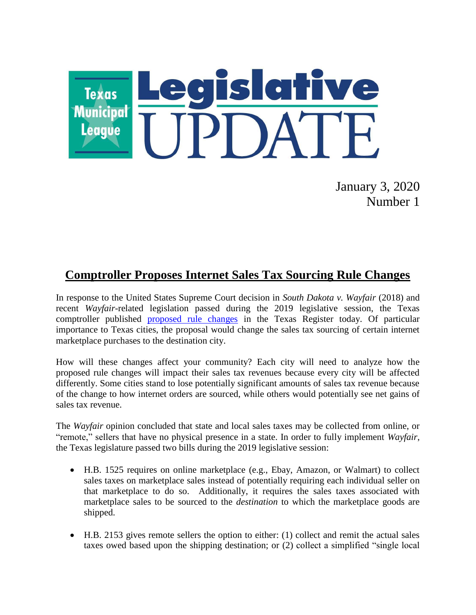

January 3, 2020 Number 1

## **Comptroller Proposes Internet Sales Tax Sourcing Rule Changes**

In response to the United States Supreme Court decision in *South Dakota v. Wayfair* (2018) and recent *Wayfair*-related legislation passed during the 2019 legislative session, the Texas comptroller published [proposed rule changes](https://www.sos.state.tx.us/texreg/archive/January32020/Proposed%20Rules/34.PUBLIC%20FINANCE.html#57) in the Texas Register today. Of particular importance to Texas cities, the proposal would change the sales tax sourcing of certain internet marketplace purchases to the destination city.

How will these changes affect your community? Each city will need to analyze how the proposed rule changes will impact their sales tax revenues because every city will be affected differently. Some cities stand to lose potentially significant amounts of sales tax revenue because of the change to how internet orders are sourced, while others would potentially see net gains of sales tax revenue.

The *Wayfair* opinion concluded that state and local sales taxes may be collected from online, or "remote," sellers that have no physical presence in a state. In order to fully implement *Wayfair*, the Texas legislature passed two bills during the 2019 legislative session:

- H.B. 1525 requires on online marketplace (e.g., Ebay, Amazon, or Walmart) to collect sales taxes on marketplace sales instead of potentially requiring each individual seller on that marketplace to do so. Additionally, it requires the sales taxes associated with marketplace sales to be sourced to the *destination* to which the marketplace goods are shipped.
- H.B. 2153 gives remote sellers the option to either: (1) collect and remit the actual sales taxes owed based upon the shipping destination; or (2) collect a simplified "single local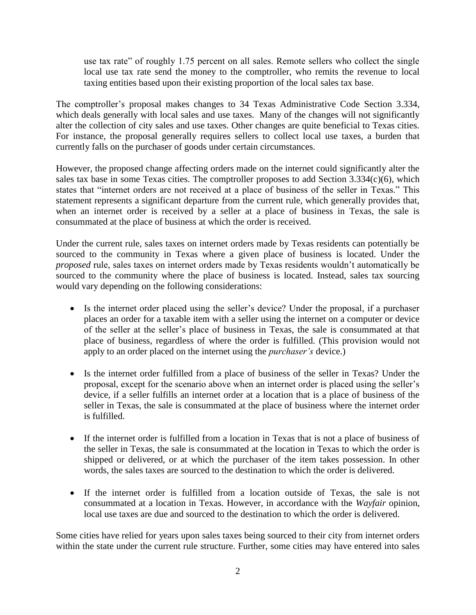use tax rate" of roughly 1.75 percent on all sales. Remote sellers who collect the single local use tax rate send the money to the comptroller, who remits the revenue to local taxing entities based upon their existing proportion of the local sales tax base.

The comptroller's proposal makes changes to 34 Texas Administrative Code Section 3.334, which deals generally with local sales and use taxes. Many of the changes will not significantly alter the collection of city sales and use taxes. Other changes are quite beneficial to Texas cities. For instance, the proposal generally requires sellers to collect local use taxes, a burden that currently falls on the purchaser of goods under certain circumstances.

However, the proposed change affecting orders made on the internet could significantly alter the sales tax base in some Texas cities. The comptroller proposes to add Section 3.334(c)(6), which states that "internet orders are not received at a place of business of the seller in Texas." This statement represents a significant departure from the current rule, which generally provides that, when an internet order is received by a seller at a place of business in Texas, the sale is consummated at the place of business at which the order is received.

Under the current rule, sales taxes on internet orders made by Texas residents can potentially be sourced to the community in Texas where a given place of business is located. Under the *proposed* rule, sales taxes on internet orders made by Texas residents wouldn't automatically be sourced to the community where the place of business is located. Instead, sales tax sourcing would vary depending on the following considerations:

- Is the internet order placed using the seller's device? Under the proposal, if a purchaser places an order for a taxable item with a seller using the internet on a computer or device of the seller at the seller's place of business in Texas, the sale is consummated at that place of business, regardless of where the order is fulfilled. (This provision would not apply to an order placed on the internet using the *purchaser's* device.)
- Is the internet order fulfilled from a place of business of the seller in Texas? Under the proposal, except for the scenario above when an internet order is placed using the seller's device, if a seller fulfills an internet order at a location that is a place of business of the seller in Texas, the sale is consummated at the place of business where the internet order is fulfilled.
- If the internet order is fulfilled from a location in Texas that is not a place of business of the seller in Texas, the sale is consummated at the location in Texas to which the order is shipped or delivered, or at which the purchaser of the item takes possession. In other words, the sales taxes are sourced to the destination to which the order is delivered.
- If the internet order is fulfilled from a location outside of Texas, the sale is not consummated at a location in Texas. However, in accordance with the *Wayfair* opinion, local use taxes are due and sourced to the destination to which the order is delivered.

Some cities have relied for years upon sales taxes being sourced to their city from internet orders within the state under the current rule structure. Further, some cities may have entered into sales